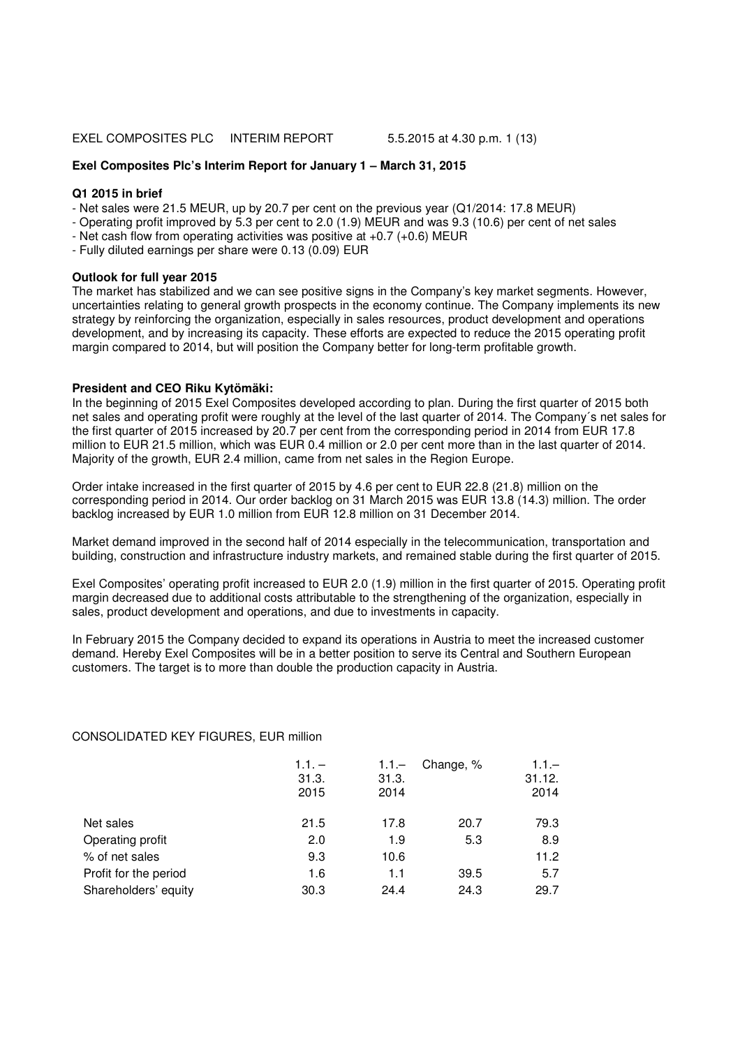## **Exel Composites Plc's Interim Report for January 1 – March 31, 2015**

### **Q1 2015 in brief**

- Net sales were 21.5 MEUR, up by 20.7 per cent on the previous year (Q1/2014: 17.8 MEUR)
- Operating profit improved by 5.3 per cent to 2.0 (1.9) MEUR and was 9.3 (10.6) per cent of net sales
- Net cash flow from operating activities was positive at +0.7 (+0.6) MEUR
- Fully diluted earnings per share were 0.13 (0.09) EUR

### **Outlook for full year 2015**

The market has stabilized and we can see positive signs in the Company's key market segments. However, uncertainties relating to general growth prospects in the economy continue. The Company implements its new strategy by reinforcing the organization, especially in sales resources, product development and operations development, and by increasing its capacity. These efforts are expected to reduce the 2015 operating profit margin compared to 2014, but will position the Company better for long-term profitable growth.

# **President and CEO Riku Kytömäki:**

In the beginning of 2015 Exel Composites developed according to plan. During the first quarter of 2015 both net sales and operating profit were roughly at the level of the last quarter of 2014. The Company´s net sales for the first quarter of 2015 increased by 20.7 per cent from the corresponding period in 2014 from EUR 17.8 million to EUR 21.5 million, which was EUR 0.4 million or 2.0 per cent more than in the last quarter of 2014. Majority of the growth, EUR 2.4 million, came from net sales in the Region Europe.

Order intake increased in the first quarter of 2015 by 4.6 per cent to EUR 22.8 (21.8) million on the corresponding period in 2014. Our order backlog on 31 March 2015 was EUR 13.8 (14.3) million. The order backlog increased by EUR 1.0 million from EUR 12.8 million on 31 December 2014.

Market demand improved in the second half of 2014 especially in the telecommunication, transportation and building, construction and infrastructure industry markets, and remained stable during the first quarter of 2015.

Exel Composites' operating profit increased to EUR 2.0 (1.9) million in the first quarter of 2015. Operating profit margin decreased due to additional costs attributable to the strengthening of the organization, especially in sales, product development and operations, and due to investments in capacity.

In February 2015 the Company decided to expand its operations in Austria to meet the increased customer demand. Hereby Exel Composites will be in a better position to serve its Central and Southern European customers. The target is to more than double the production capacity in Austria.

#### CONSOLIDATED KEY FIGURES, EUR million

|                       | $1.1. -$<br>31.3.<br>2015 | $1.1 -$<br>31.3.<br>2014 | Change, % | $1.1 -$<br>31.12.<br>2014 |
|-----------------------|---------------------------|--------------------------|-----------|---------------------------|
| Net sales             | 21.5                      | 17.8                     | 20.7      | 79.3                      |
| Operating profit      | 2.0                       | 1.9                      | 5.3       | 8.9                       |
| % of net sales        | 9.3                       | 10.6                     |           | 11.2                      |
| Profit for the period | 1.6                       | 1.1                      | 39.5      | 5.7                       |
| Shareholders' equity  | 30.3                      | 24.4                     | 24.3      | 29.7                      |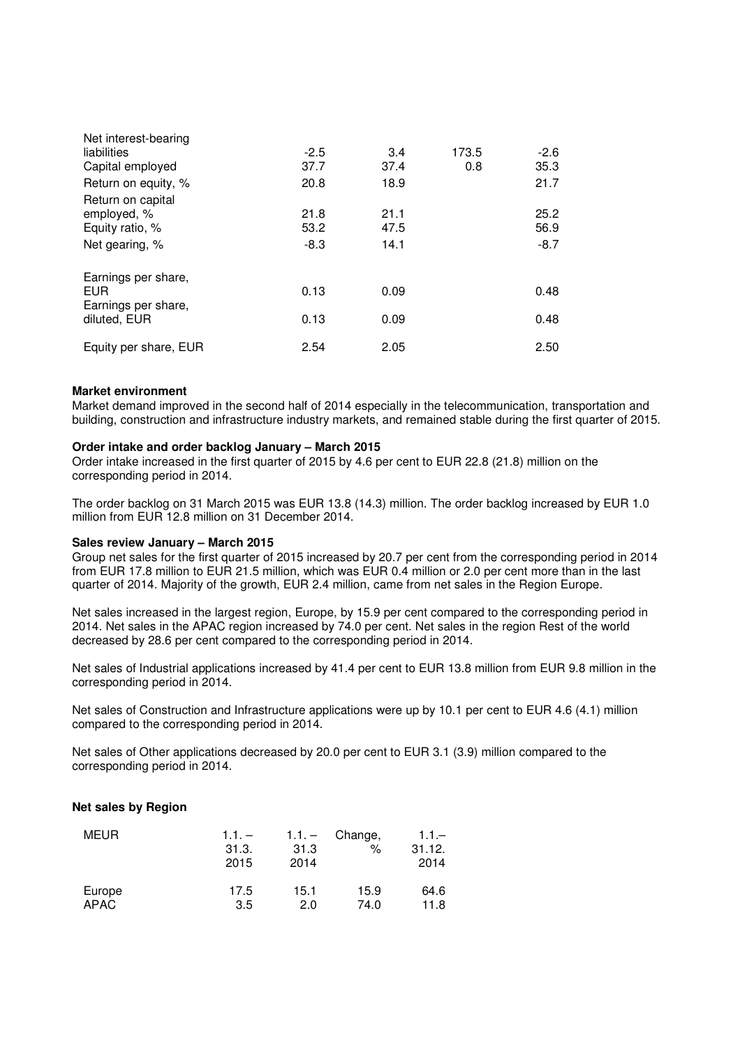| Net interest-bearing                                                  |                        |                      |       |                        |
|-----------------------------------------------------------------------|------------------------|----------------------|-------|------------------------|
| liabilities                                                           | $-2.5$                 | 3.4                  | 173.5 | $-2.6$                 |
| Capital employed                                                      | 37.7                   | 37.4                 | 0.8   | 35.3                   |
| Return on equity, %                                                   | 20.8                   | 18.9                 |       | 21.7                   |
| Return on capital<br>employed, %<br>Equity ratio, %<br>Net gearing, % | 21.8<br>53.2<br>$-8.3$ | 21.1<br>47.5<br>14.1 |       | 25.2<br>56.9<br>$-8.7$ |
|                                                                       |                        |                      |       |                        |
| Earnings per share,<br><b>EUR</b><br>Earnings per share,              | 0.13                   | 0.09                 |       | 0.48                   |
| diluted, EUR                                                          | 0.13                   | 0.09                 |       | 0.48                   |
| Equity per share, EUR                                                 | 2.54                   | 2.05                 |       | 2.50                   |

### **Market environment**

Market demand improved in the second half of 2014 especially in the telecommunication, transportation and building, construction and infrastructure industry markets, and remained stable during the first quarter of 2015.

#### **Order intake and order backlog January – March 2015**

Order intake increased in the first quarter of 2015 by 4.6 per cent to EUR 22.8 (21.8) million on the corresponding period in 2014.

The order backlog on 31 March 2015 was EUR 13.8 (14.3) million. The order backlog increased by EUR 1.0 million from EUR 12.8 million on 31 December 2014.

#### **Sales review January – March 2015**

Group net sales for the first quarter of 2015 increased by 20.7 per cent from the corresponding period in 2014 from EUR 17.8 million to EUR 21.5 million, which was EUR 0.4 million or 2.0 per cent more than in the last quarter of 2014. Majority of the growth, EUR 2.4 million, came from net sales in the Region Europe.

Net sales increased in the largest region, Europe, by 15.9 per cent compared to the corresponding period in 2014. Net sales in the APAC region increased by 74.0 per cent. Net sales in the region Rest of the world decreased by 28.6 per cent compared to the corresponding period in 2014.

Net sales of Industrial applications increased by 41.4 per cent to EUR 13.8 million from EUR 9.8 million in the corresponding period in 2014.

Net sales of Construction and Infrastructure applications were up by 10.1 per cent to EUR 4.6 (4.1) million compared to the corresponding period in 2014.

Net sales of Other applications decreased by 20.0 per cent to EUR 3.1 (3.9) million compared to the corresponding period in 2014.

## **Net sales by Region**

| <b>MEUR</b> | $1.1. -$<br>31.3.<br>2015 | $1.1. -$<br>31.3<br>2014 | Change,<br>$\%$ | $1.1 -$<br>31.12.<br>2014 |
|-------------|---------------------------|--------------------------|-----------------|---------------------------|
| Europe      | 17.5                      | 15.1                     | 15.9            | 64.6                      |
| <b>APAC</b> | 3.5                       | 2.0                      | 74.0            | 11.8                      |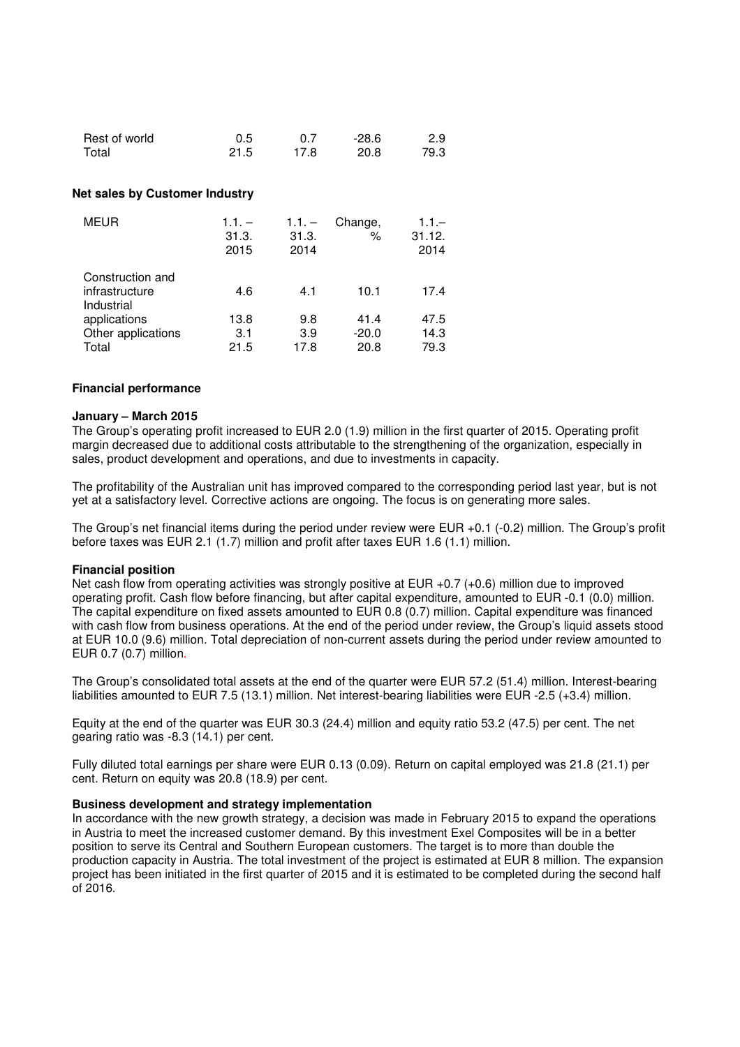| Rest of world | 0.5  | 0.7  | $-28.6$ | 2.9  |
|---------------|------|------|---------|------|
| Total         | 21.5 | 17.8 | 20.8    | 79.3 |

#### **Net sales by Customer Industry**

| <b>MEUR</b>                                      | $1.1. -$<br>31.3.<br>2015 | $1.1 -$<br>31.3.<br>2014 | Change,<br>$\%$ | $1.1 -$<br>31.12.<br>2014 |
|--------------------------------------------------|---------------------------|--------------------------|-----------------|---------------------------|
| Construction and<br>infrastructure<br>Industrial | 4.6                       | 4.1                      | 10.1            | 17.4                      |
| applications<br>Other applications               | 13.8<br>3.1               | 9.8<br>3.9               | 41.4<br>$-20.0$ | 47.5<br>14.3              |
| Total                                            | 21.5                      | 17.8                     | 20.8            | 79.3                      |

#### **Financial performance**

#### **January – March 2015**

The Group's operating profit increased to EUR 2.0 (1.9) million in the first quarter of 2015. Operating profit margin decreased due to additional costs attributable to the strengthening of the organization, especially in sales, product development and operations, and due to investments in capacity.

The profitability of the Australian unit has improved compared to the corresponding period last year, but is not yet at a satisfactory level. Corrective actions are ongoing. The focus is on generating more sales.

The Group's net financial items during the period under review were EUR +0.1 (-0.2) million. The Group's profit before taxes was EUR 2.1 (1.7) million and profit after taxes EUR 1.6 (1.1) million.

#### **Financial position**

Net cash flow from operating activities was strongly positive at EUR +0.7 (+0.6) million due to improved operating profit. Cash flow before financing, but after capital expenditure, amounted to EUR -0.1 (0.0) million. The capital expenditure on fixed assets amounted to EUR 0.8 (0.7) million. Capital expenditure was financed with cash flow from business operations. At the end of the period under review, the Group's liquid assets stood at EUR 10.0 (9.6) million. Total depreciation of non-current assets during the period under review amounted to EUR 0.7 (0.7) million.

The Group's consolidated total assets at the end of the quarter were EUR 57.2 (51.4) million. Interest-bearing liabilities amounted to EUR 7.5 (13.1) million. Net interest-bearing liabilities were EUR -2.5 (+3.4) million.

Equity at the end of the quarter was EUR 30.3 (24.4) million and equity ratio 53.2 (47.5) per cent. The net gearing ratio was -8.3 (14.1) per cent.

Fully diluted total earnings per share were EUR 0.13 (0.09). Return on capital employed was 21.8 (21.1) per cent. Return on equity was 20.8 (18.9) per cent.

# **Business development and strategy implementation**

In accordance with the new growth strategy, a decision was made in February 2015 to expand the operations in Austria to meet the increased customer demand. By this investment Exel Composites will be in a better position to serve its Central and Southern European customers. The target is to more than double the production capacity in Austria. The total investment of the project is estimated at EUR 8 million. The expansion project has been initiated in the first quarter of 2015 and it is estimated to be completed during the second half  $\overline{0}$ f 2016.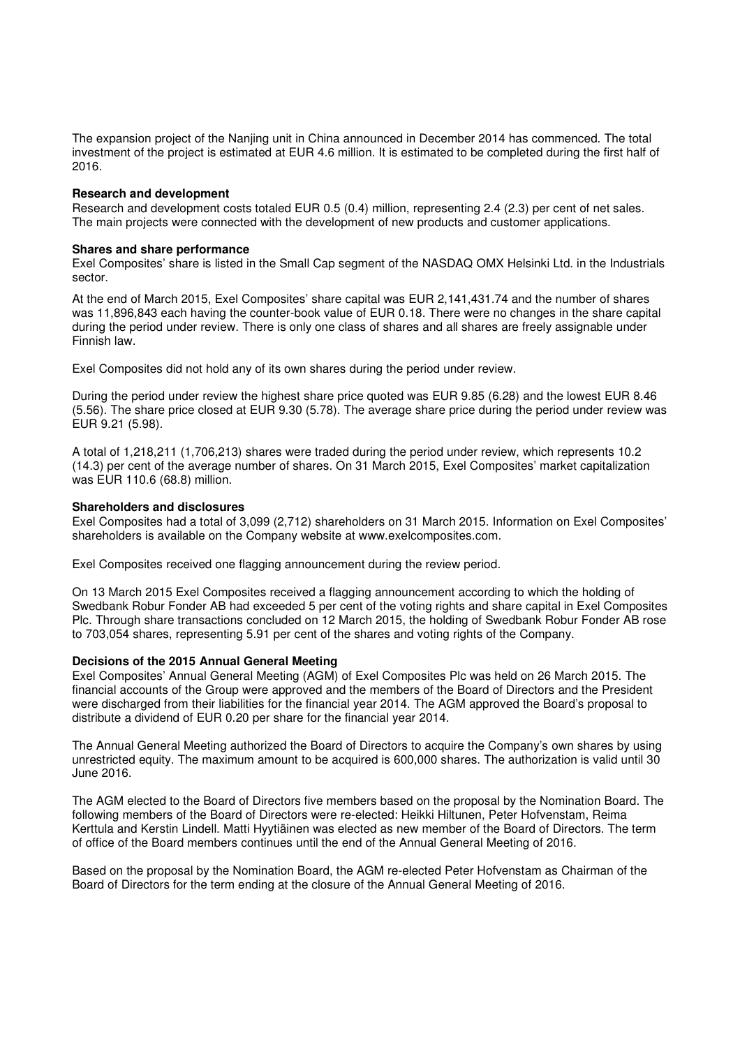The expansion project of the Nanjing unit in China announced in December 2014 has commenced. The total investment of the project is estimated at EUR 4.6 million. It is estimated to be completed during the first half of 2016.

### **Research and development**

Research and development costs totaled EUR 0.5 (0.4) million, representing 2.4 (2.3) per cent of net sales. The main projects were connected with the development of new products and customer applications.

### **Shares and share performance**

Exel Composites' share is listed in the Small Cap segment of the NASDAQ OMX Helsinki Ltd. in the Industrials sector.

At the end of March 2015, Exel Composites' share capital was EUR 2,141,431.74 and the number of shares was 11,896,843 each having the counter-book value of EUR 0.18. There were no changes in the share capital during the period under review. There is only one class of shares and all shares are freely assignable under Finnish law.

Exel Composites did not hold any of its own shares during the period under review.

During the period under review the highest share price quoted was EUR 9.85 (6.28) and the lowest EUR 8.46 (5.56). The share price closed at EUR 9.30 (5.78). The average share price during the period under review was EUR 9.21 (5.98).

A total of 1,218,211 (1,706,213) shares were traded during the period under review, which represents 10.2 (14.3) per cent of the average number of shares. On 31 March 2015, Exel Composites' market capitalization was EUR 110.6 (68.8) million.

### **Shareholders and disclosures**

Exel Composites had a total of 3,099 (2,712) shareholders on 31 March 2015. Information on Exel Composites' shareholders is available on the Company website at www.exelcomposites.com.

Exel Composites received one flagging announcement during the review period.

On 13 March 2015 Exel Composites received a flagging announcement according to which the holding of Swedbank Robur Fonder AB had exceeded 5 per cent of the voting rights and share capital in Exel Composites Plc. Through share transactions concluded on 12 March 2015, the holding of Swedbank Robur Fonder AB rose to 703,054 shares, representing 5.91 per cent of the shares and voting rights of the Company.

# **Decisions of the 2015 Annual General Meeting**

Exel Composites' Annual General Meeting (AGM) of Exel Composites Plc was held on 26 March 2015. The financial accounts of the Group were approved and the members of the Board of Directors and the President were discharged from their liabilities for the financial year 2014. The AGM approved the Board's proposal to distribute a dividend of EUR 0.20 per share for the financial year 2014.

The Annual General Meeting authorized the Board of Directors to acquire the Company's own shares by using unrestricted equity. The maximum amount to be acquired is 600,000 shares. The authorization is valid until 30 June 2016.

The AGM elected to the Board of Directors five members based on the proposal by the Nomination Board. The following members of the Board of Directors were re-elected: Heikki Hiltunen, Peter Hofvenstam, Reima Kerttula and Kerstin Lindell. Matti Hyytiäinen was elected as new member of the Board of Directors. The term of office of the Board members continues until the end of the Annual General Meeting of 2016.

Based on the proposal by the Nomination Board, the AGM re-elected Peter Hofvenstam as Chairman of the Board of Directors for the term ending at the closure of the Annual General Meeting of 2016.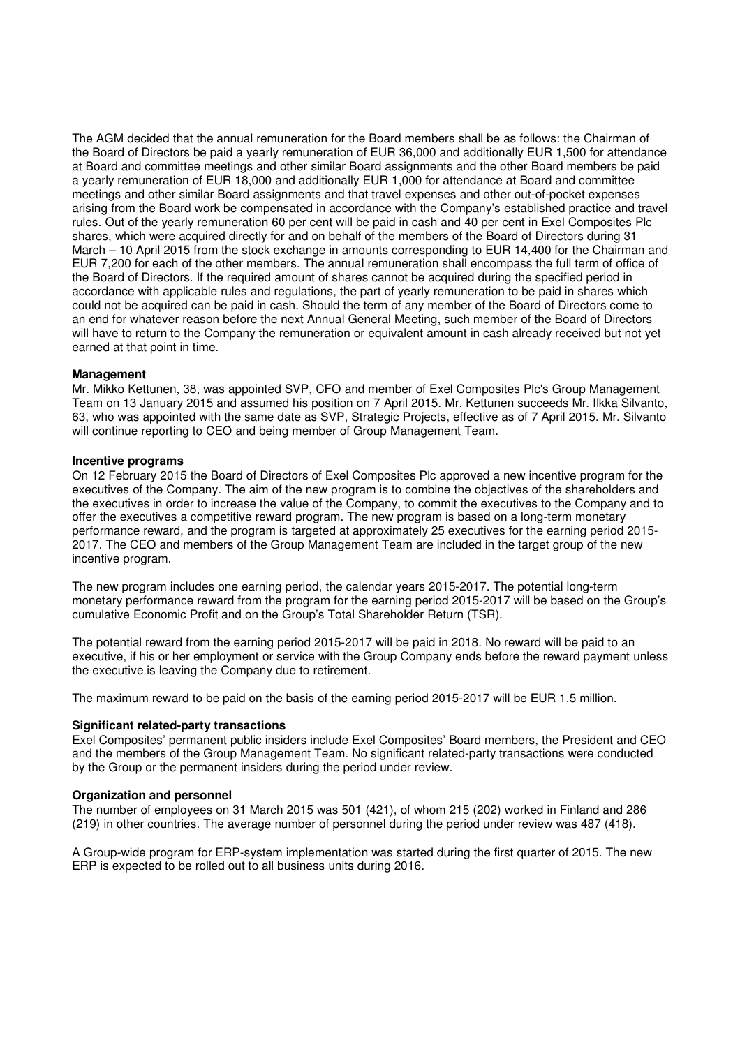The AGM decided that the annual remuneration for the Board members shall be as follows: the Chairman of the Board of Directors be paid a yearly remuneration of EUR 36,000 and additionally EUR 1,500 for attendance at Board and committee meetings and other similar Board assignments and the other Board members be paid a yearly remuneration of EUR 18,000 and additionally EUR 1,000 for attendance at Board and committee meetings and other similar Board assignments and that travel expenses and other out-of-pocket expenses arising from the Board work be compensated in accordance with the Company's established practice and travel rules. Out of the yearly remuneration 60 per cent will be paid in cash and 40 per cent in Exel Composites Plc shares, which were acquired directly for and on behalf of the members of the Board of Directors during 31 March – 10 April 2015 from the stock exchange in amounts corresponding to EUR 14,400 for the Chairman and EUR 7,200 for each of the other members. The annual remuneration shall encompass the full term of office of the Board of Directors. If the required amount of shares cannot be acquired during the specified period in accordance with applicable rules and regulations, the part of yearly remuneration to be paid in shares which could not be acquired can be paid in cash. Should the term of any member of the Board of Directors come to an end for whatever reason before the next Annual General Meeting, such member of the Board of Directors will have to return to the Company the remuneration or equivalent amount in cash already received but not yet earned at that point in time.

# **Management**

Mr. Mikko Kettunen, 38, was appointed SVP, CFO and member of Exel Composites Plc's Group Management Team on 13 January 2015 and assumed his position on 7 April 2015. Mr. Kettunen succeeds Mr. Ilkka Silvanto, 63, who was appointed with the same date as SVP, Strategic Projects, effective as of 7 April 2015. Mr. Silvanto will continue reporting to CEO and being member of Group Management Team.

### **Incentive programs**

On 12 February 2015 the Board of Directors of Exel Composites Plc approved a new incentive program for the executives of the Company. The aim of the new program is to combine the objectives of the shareholders and the executives in order to increase the value of the Company, to commit the executives to the Company and to offer the executives a competitive reward program. The new program is based on a long-term monetary performance reward, and the program is targeted at approximately 25 executives for the earning period 2015- 2017. The CEO and members of the Group Management Team are included in the target group of the new incentive program.

The new program includes one earning period, the calendar years 2015-2017. The potential long-term monetary performance reward from the program for the earning period 2015-2017 will be based on the Group's cumulative Economic Profit and on the Group's Total Shareholder Return (TSR).

The potential reward from the earning period 2015-2017 will be paid in 2018. No reward will be paid to an executive, if his or her employment or service with the Group Company ends before the reward payment unless the executive is leaving the Company due to retirement.

The maximum reward to be paid on the basis of the earning period 2015-2017 will be EUR 1.5 million.

# **Significant related-party transactions**

Exel Composites' permanent public insiders include Exel Composites' Board members, the President and CEO and the members of the Group Management Team. No significant related-party transactions were conducted by the Group or the permanent insiders during the period under review.

# **Organization and personnel**

The number of employees on 31 March 2015 was 501 (421), of whom 215 (202) worked in Finland and 286 (219) in other countries. The average number of personnel during the period under review was 487 (418).

A Group-wide program for ERP-system implementation was started during the first quarter of 2015. The new ERP is expected to be rolled out to all business units during 2016.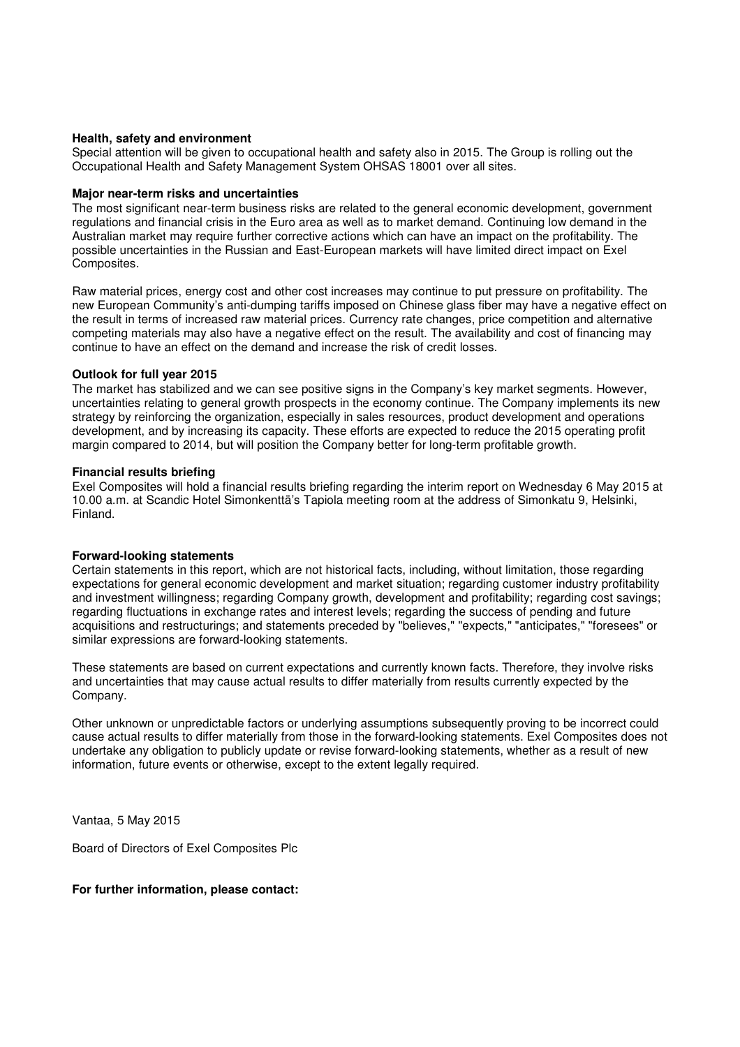# **Health, safety and environment**

Special attention will be given to occupational health and safety also in 2015. The Group is rolling out the Occupational Health and Safety Management System OHSAS 18001 over all sites.

## **Major near-term risks and uncertainties**

The most significant near-term business risks are related to the general economic development, government regulations and financial crisis in the Euro area as well as to market demand. Continuing low demand in the Australian market may require further corrective actions which can have an impact on the profitability. The possible uncertainties in the Russian and East-European markets will have limited direct impact on Exel Composites.

Raw material prices, energy cost and other cost increases may continue to put pressure on profitability. The new European Community's anti-dumping tariffs imposed on Chinese glass fiber may have a negative effect on the result in terms of increased raw material prices. Currency rate changes, price competition and alternative competing materials may also have a negative effect on the result. The availability and cost of financing may continue to have an effect on the demand and increase the risk of credit losses.

### **Outlook for full year 2015**

The market has stabilized and we can see positive signs in the Company's key market segments. However, uncertainties relating to general growth prospects in the economy continue. The Company implements its new strategy by reinforcing the organization, especially in sales resources, product development and operations development, and by increasing its capacity. These efforts are expected to reduce the 2015 operating profit margin compared to 2014, but will position the Company better for long-term profitable growth.

### **Financial results briefing**

Exel Composites will hold a financial results briefing regarding the interim report on Wednesday 6 May 2015 at 10.00 a.m. at Scandic Hotel Simonkenttä's Tapiola meeting room at the address of Simonkatu 9, Helsinki, Finland.

# **Forward-looking statements**

Certain statements in this report, which are not historical facts, including, without limitation, those regarding expectations for general economic development and market situation; regarding customer industry profitability and investment willingness; regarding Company growth, development and profitability; regarding cost savings; regarding fluctuations in exchange rates and interest levels; regarding the success of pending and future acquisitions and restructurings; and statements preceded by "believes," "expects," "anticipates," "foresees" or similar expressions are forward-looking statements.

These statements are based on current expectations and currently known facts. Therefore, they involve risks and uncertainties that may cause actual results to differ materially from results currently expected by the Company.

Other unknown or unpredictable factors or underlying assumptions subsequently proving to be incorrect could cause actual results to differ materially from those in the forward-looking statements. Exel Composites does not undertake any obligation to publicly update or revise forward-looking statements, whether as a result of new information, future events or otherwise, except to the extent legally required.

Vantaa, 5 May 2015

Board of Directors of Exel Composites Plc

# **For further information, please contact:**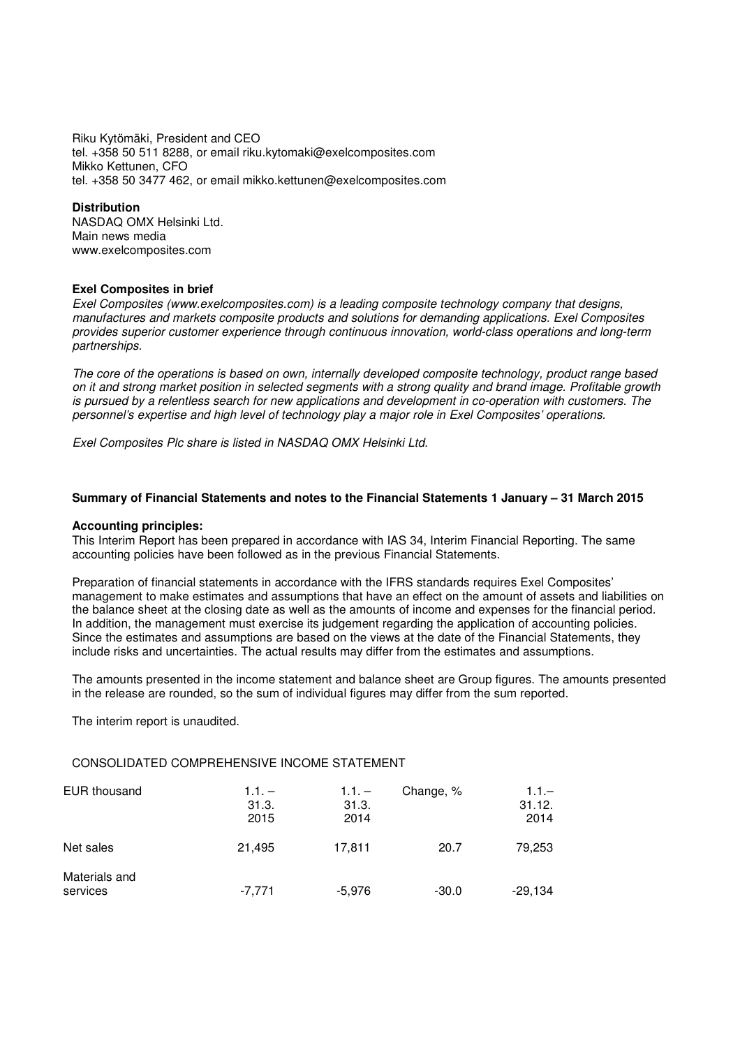Riku Kytömäki, President and CEO tel. +358 50 511 8288, or email riku.kytomaki@exelcomposites.com Mikko Kettunen, CFO tel. +358 50 3477 462, or email mikko.kettunen@exelcomposites.com

## **Distribution**

NASDAQ OMX Helsinki Ltd. Main news media www.exelcomposites.com

# **Exel Composites in brief**

Exel Composites (www.exelcomposites.com) is a leading composite technology company that designs, manufactures and markets composite products and solutions for demanding applications. Exel Composites provides superior customer experience through continuous innovation, world-class operations and long-term partnerships.

The core of the operations is based on own, internally developed composite technology, product range based on it and strong market position in selected segments with a strong quality and brand image. Profitable growth is pursued by a relentless search for new applications and development in co-operation with customers. The personnel's expertise and high level of technology play a major role in Exel Composites' operations.

Exel Composites Plc share is listed in NASDAQ OMX Helsinki Ltd.

# **Summary of Financial Statements and notes to the Financial Statements 1 January – 31 March 2015**

# **Accounting principles:**

This Interim Report has been prepared in accordance with IAS 34, Interim Financial Reporting. The same accounting policies have been followed as in the previous Financial Statements.

Preparation of financial statements in accordance with the IFRS standards requires Exel Composites' management to make estimates and assumptions that have an effect on the amount of assets and liabilities on the balance sheet at the closing date as well as the amounts of income and expenses for the financial period. In addition, the management must exercise its judgement regarding the application of accounting policies. Since the estimates and assumptions are based on the views at the date of the Financial Statements, they include risks and uncertainties. The actual results may differ from the estimates and assumptions.

The amounts presented in the income statement and balance sheet are Group figures. The amounts presented in the release are rounded, so the sum of individual figures may differ from the sum reported.

The interim report is unaudited.

# CONSOLIDATED COMPREHENSIVE INCOME STATEMENT

| <b>EUR thousand</b>       | $1.1 -$<br>31.3.<br>2015 | $1.1. -$<br>31.3.<br>2014 | Change, % | $1.1 -$<br>31.12.<br>2014 |
|---------------------------|--------------------------|---------------------------|-----------|---------------------------|
| Net sales                 | 21,495                   | 17,811                    | 20.7      | 79,253                    |
| Materials and<br>services | $-7,771$                 | $-5,976$                  | $-30.0$   | $-29,134$                 |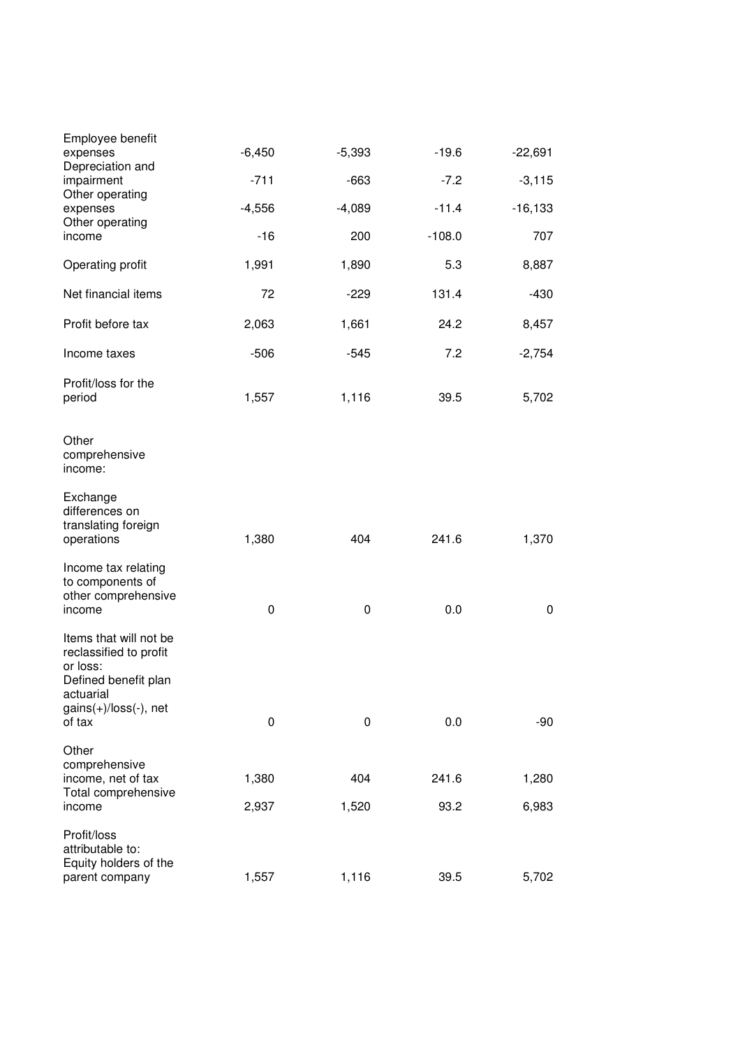| Employee benefit<br>expenses                                                                                                            | $-6,450$  | $-5,393$  | $-19.6$  | $-22,691$  |
|-----------------------------------------------------------------------------------------------------------------------------------------|-----------|-----------|----------|------------|
| Depreciation and<br>impairment                                                                                                          | $-711$    | $-663$    | $-7.2$   | $-3,115$   |
| Other operating<br>expenses                                                                                                             | $-4,556$  | $-4,089$  | $-11.4$  | $-16, 133$ |
| Other operating<br>income                                                                                                               | $-16$     | 200       | $-108.0$ | 707        |
| Operating profit                                                                                                                        | 1,991     | 1,890     | 5.3      | 8,887      |
| Net financial items                                                                                                                     | 72        | $-229$    | 131.4    | $-430$     |
| Profit before tax                                                                                                                       | 2,063     | 1,661     | 24.2     | 8,457      |
| Income taxes                                                                                                                            | $-506$    | $-545$    | 7.2      | $-2,754$   |
| Profit/loss for the<br>period                                                                                                           | 1,557     | 1,116     | 39.5     | 5,702      |
| Other<br>comprehensive<br>income:                                                                                                       |           |           |          |            |
| Exchange<br>differences on<br>translating foreign<br>operations                                                                         | 1,380     | 404       | 241.6    | 1,370      |
| Income tax relating<br>to components of<br>other comprehensive<br>income                                                                | $\pmb{0}$ | $\pmb{0}$ | 0.0      | 0          |
| Items that will not be<br>reclassified to profit<br>or loss:<br>Defined benefit plan<br>actuarial<br>$gains(+)/loss(-)$ , net<br>of tax | $\pmb{0}$ | 0         | 0.0      | $-90$      |
| Other                                                                                                                                   |           |           |          |            |
| comprehensive<br>income, net of tax<br>Total comprehensive                                                                              | 1,380     | 404       | 241.6    | 1,280      |
| income                                                                                                                                  | 2,937     | 1,520     | 93.2     | 6,983      |
| Profit/loss<br>attributable to:<br>Equity holders of the<br>parent company                                                              | 1,557     | 1,116     | 39.5     | 5,702      |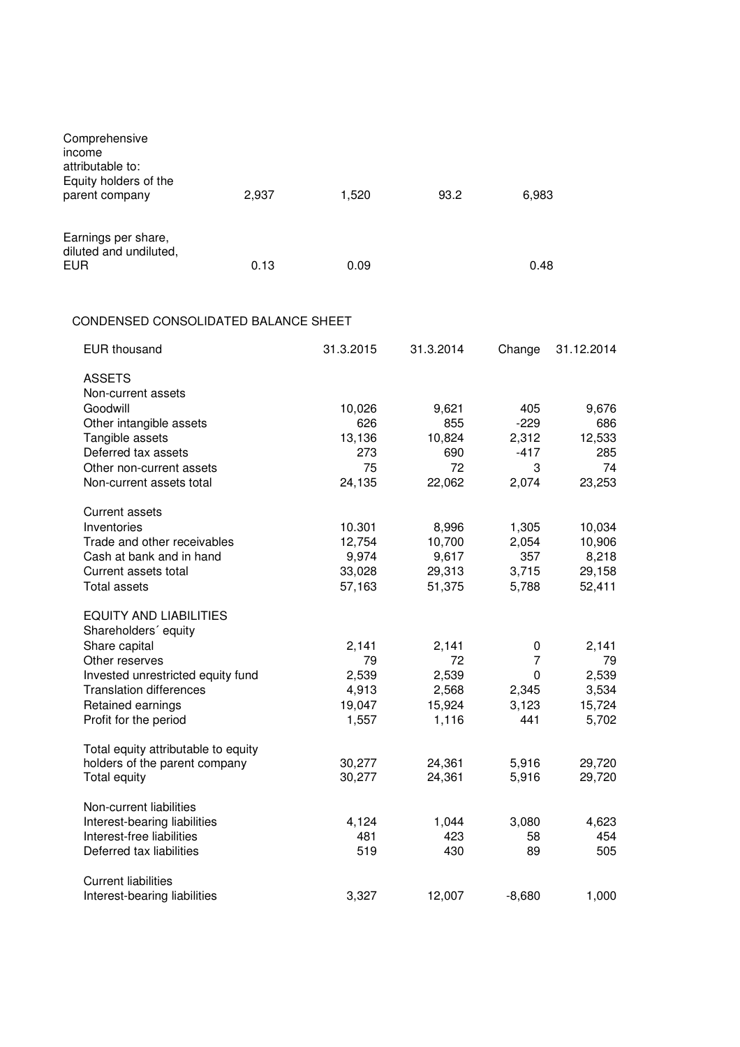| Comprehensive<br>income<br>attributable to:<br>Equity holders of the<br>parent company                                                                                                                        | 2,937 | 1,520                                            | 93.2                                             | 6,983                                             |                                                  |
|---------------------------------------------------------------------------------------------------------------------------------------------------------------------------------------------------------------|-------|--------------------------------------------------|--------------------------------------------------|---------------------------------------------------|--------------------------------------------------|
| Earnings per share,<br>diluted and undiluted,<br><b>EUR</b>                                                                                                                                                   | 0.13  | 0.09                                             |                                                  | 0.48                                              |                                                  |
| CONDENSED CONSOLIDATED BALANCE SHEET                                                                                                                                                                          |       |                                                  |                                                  |                                                   |                                                  |
| <b>EUR</b> thousand                                                                                                                                                                                           |       | 31.3.2015                                        | 31.3.2014                                        | Change                                            | 31.12.2014                                       |
| <b>ASSETS</b><br>Non-current assets<br>Goodwill<br>Other intangible assets<br>Tangible assets<br>Deferred tax assets<br>Other non-current assets<br>Non-current assets total                                  |       | 10,026<br>626<br>13,136<br>273<br>75<br>24,135   | 9,621<br>855<br>10,824<br>690<br>72<br>22,062    | 405<br>$-229$<br>2,312<br>$-417$<br>3<br>2,074    | 9,676<br>686<br>12,533<br>285<br>74<br>23,253    |
| Current assets<br>Inventories<br>Trade and other receivables<br>Cash at bank and in hand<br>Current assets total<br>Total assets                                                                              |       | 10.301<br>12,754<br>9,974<br>33,028<br>57,163    | 8,996<br>10,700<br>9,617<br>29,313<br>51,375     | 1,305<br>2,054<br>357<br>3,715<br>5,788           | 10,034<br>10,906<br>8,218<br>29,158<br>52,411    |
| <b>EQUITY AND LIABILITIES</b><br>Shareholders' equity<br>Share capital<br>Other reserves<br>Invested unrestricted equity fund<br><b>Translation differences</b><br>Retained earnings<br>Profit for the period |       | 2,141<br>79<br>2,539<br>4,913<br>19,047<br>1,557 | 2,141<br>72<br>2,539<br>2,568<br>15,924<br>1,116 | 0<br>$\overline{7}$<br>0<br>2,345<br>3,123<br>441 | 2,141<br>79<br>2,539<br>3,534<br>15,724<br>5,702 |
| Total equity attributable to equity<br>holders of the parent company<br>Total equity                                                                                                                          |       | 30,277<br>30,277                                 | 24,361<br>24,361                                 | 5,916<br>5,916                                    | 29,720<br>29,720                                 |
| Non-current liabilities<br>Interest-bearing liabilities<br>Interest-free liabilities<br>Deferred tax liabilities                                                                                              |       | 4,124<br>481<br>519                              | 1,044<br>423<br>430                              | 3,080<br>58<br>89                                 | 4,623<br>454<br>505                              |
| <b>Current liabilities</b><br>Interest-bearing liabilities                                                                                                                                                    |       | 3,327                                            | 12,007                                           | $-8,680$                                          | 1,000                                            |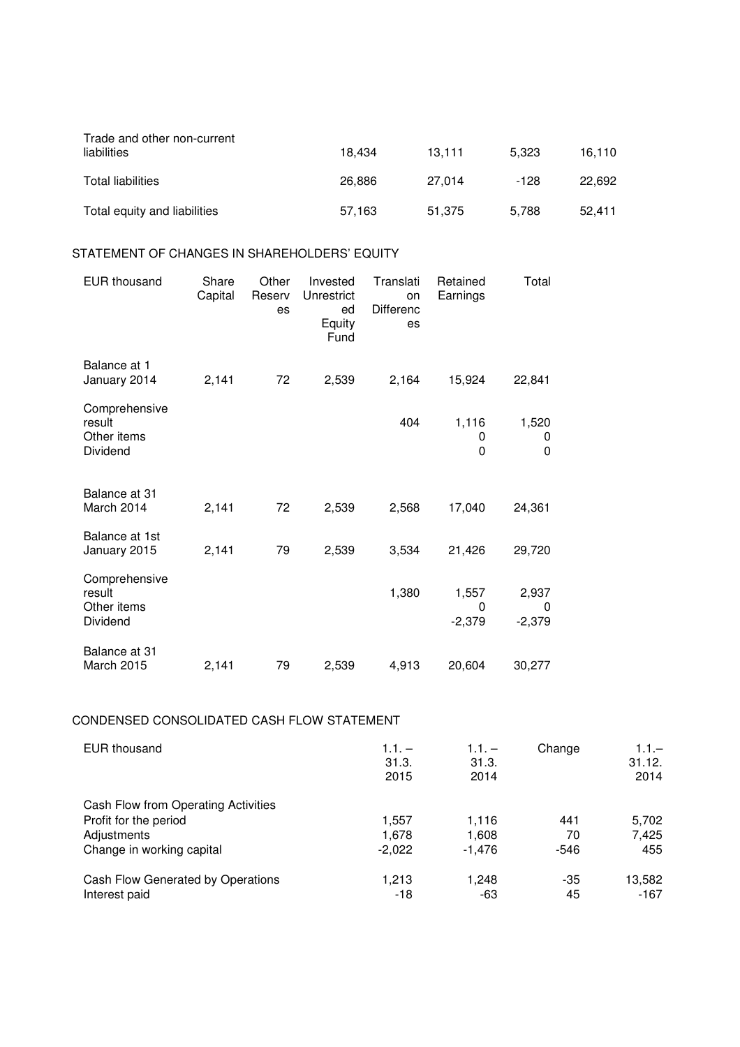| Trade and other non-current<br>liabilities | 18.434 | 13.111 | 5.323 | 16.110 |
|--------------------------------------------|--------|--------|-------|--------|
| Total liabilities                          | 26.886 | 27.014 | -128  | 22.692 |
| Total equity and liabilities               | 57,163 | 51.375 | 5.788 | 52.411 |

# STATEMENT OF CHANGES IN SHAREHOLDERS' EQUITY

| <b>EUR thousand</b>                                | Share<br>Capital | Other<br>Reserv<br>es | Invested<br>Unrestrict<br>ed<br>Equity<br>Fund | Translati<br>on<br><b>Differenc</b><br>es | Retained<br>Earnings   | Total                  |
|----------------------------------------------------|------------------|-----------------------|------------------------------------------------|-------------------------------------------|------------------------|------------------------|
| Balance at 1<br>January 2014                       | 2,141            | 72                    | 2,539                                          | 2,164                                     | 15,924                 | 22,841                 |
| Comprehensive<br>result<br>Other items<br>Dividend |                  |                       |                                                | 404                                       | 1,116<br>0<br>0        | 1,520<br>0<br>0        |
| Balance at 31<br>March 2014                        | 2,141            | 72                    | 2,539                                          | 2,568                                     | 17,040                 | 24,361                 |
| Balance at 1st<br>January 2015                     | 2,141            | 79                    | 2,539                                          | 3,534                                     | 21,426                 | 29,720                 |
| Comprehensive<br>result<br>Other items<br>Dividend |                  |                       |                                                | 1,380                                     | 1,557<br>0<br>$-2,379$ | 2,937<br>0<br>$-2,379$ |
| Balance at 31<br>March 2015                        | 2,141            | 79                    | 2,539                                          | 4,913                                     | 20,604                 | 30,277                 |

# CONDENSED CONSOLIDATED CASH FLOW STATEMENT

| <b>EUR thousand</b>                 | $1.1. -$<br>31.3.<br>2015 | $1.1. -$<br>31.3.<br>2014 | Change | $1.1 -$<br>31.12.<br>2014 |
|-------------------------------------|---------------------------|---------------------------|--------|---------------------------|
| Cash Flow from Operating Activities |                           |                           |        |                           |
| Profit for the period               | 1,557                     | 1,116                     | 441    | 5,702                     |
| Adjustments                         | 1.678                     | 1,608                     | 70     | 7.425                     |
| Change in working capital           | $-2.022$                  | -1.476                    | $-546$ | 455                       |
| Cash Flow Generated by Operations   | 1.213                     | 1.248                     | -35    | 13,582                    |
| Interest paid                       | -18                       | -63                       | 45     | $-167$                    |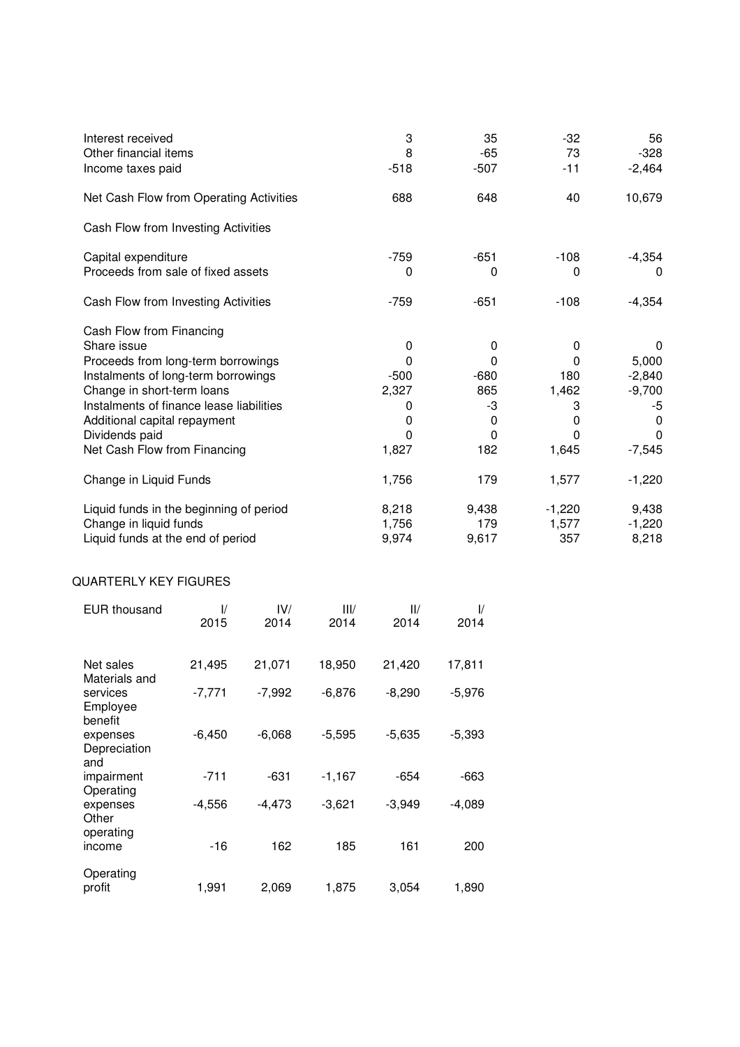| Interest received                        | 3      | 35       | $-32$        | 56       |
|------------------------------------------|--------|----------|--------------|----------|
| Other financial items                    | 8      | -65      | 73           | $-328$   |
| Income taxes paid                        | $-518$ | $-507$   | $-11$        | $-2,464$ |
| Net Cash Flow from Operating Activities  | 688    | 648      | 40           | 10,679   |
| Cash Flow from Investing Activities      |        |          |              |          |
| Capital expenditure                      | -759   | $-651$   | $-108$       | $-4,354$ |
| Proceeds from sale of fixed assets       | 0      | 0        | 0            | 0        |
| Cash Flow from Investing Activities      | -759   | $-651$   | $-108$       | $-4,354$ |
| Cash Flow from Financing                 |        |          |              |          |
| Share issue                              | 0      | 0        | $\Omega$     | $\Omega$ |
| Proceeds from long-term borrowings       | 0      | $\Omega$ | 0            | 5,000    |
| Instalments of long-term borrowings      | $-500$ | $-680$   | 180          | $-2,840$ |
| Change in short-term loans               | 2,327  | 865      | 1,462        | $-9,700$ |
| Instalments of finance lease liabilities | 0      | -3       | 3            | -5       |
| Additional capital repayment             | 0      | $\Omega$ | 0            | 0        |
| Dividends paid                           | 0      | $\Omega$ | $\mathbf{0}$ | $\Omega$ |
| Net Cash Flow from Financing             | 1,827  | 182      | 1,645        | $-7,545$ |
| Change in Liquid Funds                   | 1,756  | 179      | 1,577        | $-1,220$ |
| Liquid funds in the beginning of period  | 8,218  | 9,438    | $-1,220$     | 9,438    |
| Change in liquid funds                   | 1,756  | 179      | 1,577        | $-1,220$ |
| Liquid funds at the end of period        | 9,974  | 9,617    | 357          | 8,218    |

# QUARTERLY KEY FIGURES

| <b>EUR thousand</b>             | $\mathcal{U}$<br>2015 | IV/<br>2014 | III/<br>2014 | $\mathsf{II}/\mathsf{I}$<br>2014 | $\frac{1}{2}$<br>2014 |
|---------------------------------|-----------------------|-------------|--------------|----------------------------------|-----------------------|
| Net sales<br>Materials and      | 21,495                | 21,071      | 18,950       | 21,420                           | 17,811                |
| services<br>Employee<br>benefit | $-7,771$              | $-7,992$    | $-6,876$     | $-8,290$                         | $-5,976$              |
| expenses<br>Depreciation<br>and | $-6,450$              | $-6,068$    | $-5,595$     | $-5,635$                         | $-5,393$              |
| impairment<br>Operating         | $-711$                | $-631$      | $-1,167$     | $-654$                           | -663                  |
| expenses<br>Other<br>operating  | $-4,556$              | $-4,473$    | $-3,621$     | $-3,949$                         | $-4,089$              |
| income                          | -16                   | 162         | 185          | 161                              | 200                   |
| Operating<br>profit             | 1,991                 | 2,069       | 1,875        | 3,054                            | 1,890                 |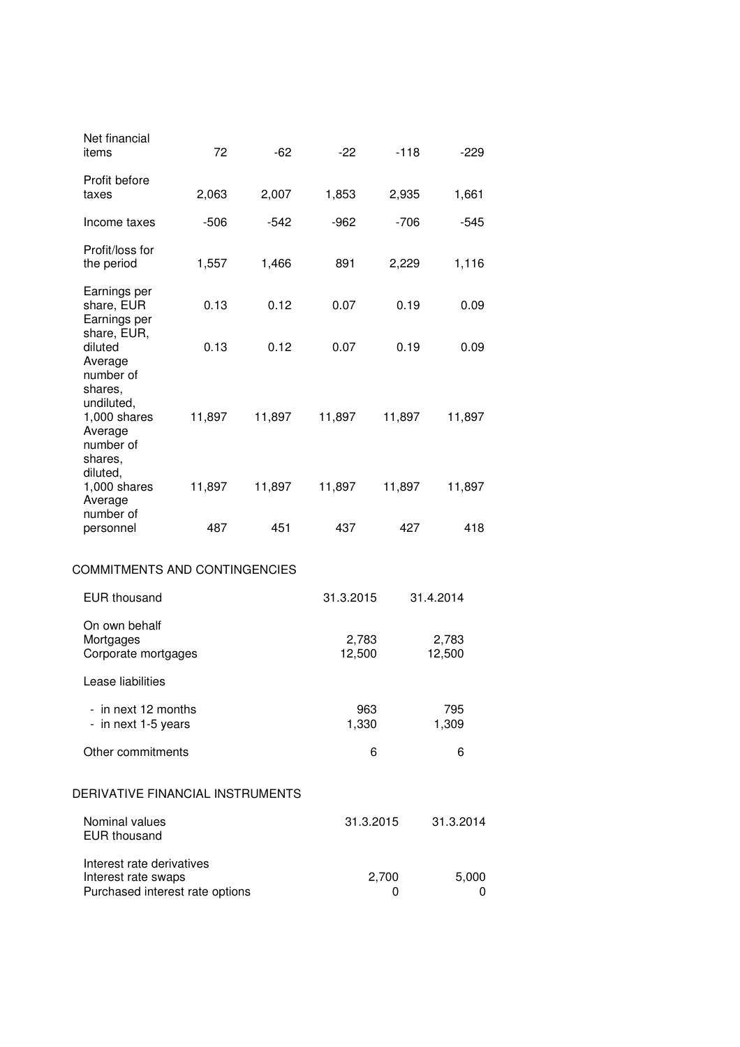| Net financial<br>items                                                                | 72           | $-62$  | $-22$           | $-118$ | $-229$          |
|---------------------------------------------------------------------------------------|--------------|--------|-----------------|--------|-----------------|
| Profit before<br>taxes                                                                | 2,063        | 2,007  | 1,853           | 2,935  | 1,661           |
| Income taxes                                                                          | $-506$       | $-542$ | $-962$          | $-706$ | $-545$          |
| Profit/loss for<br>the period                                                         | 1,557        | 1,466  | 891             | 2,229  | 1,116           |
| Earnings per<br>share, EUR<br>Earnings per                                            | 0.13         | 0.12   | 0.07            | 0.19   | 0.09            |
| share, EUR,<br>diluted<br>Average                                                     | 0.13         | 0.12   | 0.07            | 0.19   | 0.09            |
| number of<br>shares,<br>undiluted,<br>1,000 shares<br>Average<br>number of<br>shares, | 11,897       | 11,897 | 11,897          | 11,897 | 11,897          |
| diluted,<br>$1,000$ shares<br>Average                                                 | 11,897       | 11,897 | 11,897          | 11,897 | 11,897          |
| number of<br>personnel                                                                | 487          | 451    | 437             | 427    | 418             |
| COMMITMENTS AND CONTINGENCIES                                                         |              |        |                 |        |                 |
| <b>EUR thousand</b>                                                                   |              |        | 31.3.2015       |        | 31.4.2014       |
| On own behalf                                                                         |              |        |                 |        |                 |
| Mortgages<br>Corporate mortgages                                                      |              |        | 2,783<br>12,500 |        | 2,783<br>12,500 |
| Lease liabilities                                                                     |              |        |                 |        |                 |
| - in next 12 months<br>- in next 1-5 years                                            | 963<br>1,330 |        | 795<br>1,309    |        |                 |
| Other commitments                                                                     |              |        | 6               |        | 6               |
| DERIVATIVE FINANCIAL INSTRUMENTS                                                      |              |        |                 |        |                 |
| Nominal values<br><b>EUR thousand</b>                                                 |              |        | 31.3.2015       |        | 31.3.2014       |
| Interest rate derivatives<br>Interest rate swaps<br>Purchased interest rate options   |              |        | 2,700<br>0      |        | 5,000<br>0      |